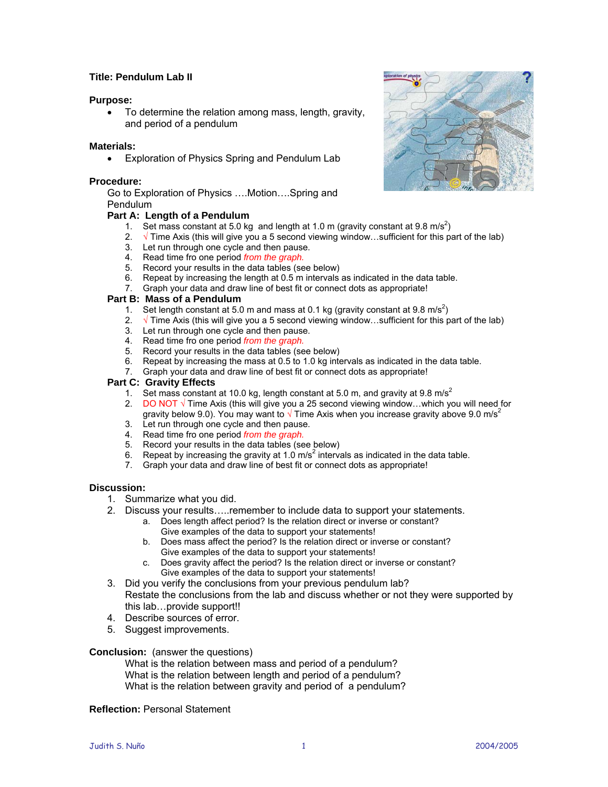## **Title: Pendulum Lab II**

## **Purpose:**

• To determine the relation among mass, length, gravity, and period of a pendulum

## **Materials:**

• Exploration of Physics Spring and Pendulum Lab

## **Procedure:**

Go to Exploration of Physics ….Motion….Spring and Pendulum

## **Part A: Length of a Pendulum**

- 1. Set mass constant at 5.0 kg and length at 1.0 m (gravity constant at 9.8 m/s<sup>2</sup>)
- 2.  $\sqrt{ }$  Time Axis (this will give you a 5 second viewing window…sufficient for this part of the lab)
- 3. Let run through one cycle and then pause.
- 4. Read time fro one period *from the graph.*
- 5. Record your results in the data tables (see below)
- 6. Repeat by increasing the length at 0.5 m intervals as indicated in the data table.
- 7. Graph your data and draw line of best fit or connect dots as appropriate!

## **Part B: Mass of a Pendulum**

- 1. Set length constant at 5.0 m and mass at 0.1 kg (gravity constant at 9.8 m/s<sup>2</sup>)
- 2.  $\sqrt{}$  Time Axis (this will give you a 5 second viewing window…sufficient for this part of the lab)
- 3. Let run through one cycle and then pause.
- 4. Read time fro one period *from the graph.*
- 5. Record your results in the data tables (see below)
- 6. Repeat by increasing the mass at 0.5 to 1.0 kg intervals as indicated in the data table.
- 7. Graph your data and draw line of best fit or connect dots as appropriate!

## **Part C: Gravity Effects**

- 1. Set mass constant at 10.0 kg, length constant at 5.0 m, and gravity at 9.8 m/s<sup>2</sup>
- 2. DO NOT  $\sqrt{ }$  Time Axis (this will give you a 25 second viewing window... which you will need for gravity below 9.0). You may want to  $\sqrt{ }$  Time Axis when you increase gravity above 9.0 m/s<sup>2</sup>
- 3. Let run through one cycle and then pause.
- 4. Read time fro one period *from the graph.*
- 5. Record your results in the data tables (see below)
- 6. Repeat by increasing the gravity at 1.0  $\text{m/s}^2$  intervals as indicated in the data table.
- 7. Graph your data and draw line of best fit or connect dots as appropriate!

## **Discussion:**

- 1. Summarize what you did.
- 2. Discuss your results…..remember to include data to support your statements.
	- a. Does length affect period? Is the relation direct or inverse or constant? Give examples of the data to support your statements!
		- b. Does mass affect the period? Is the relation direct or inverse or constant? Give examples of the data to support your statements!
		- c. Does gravity affect the period? Is the relation direct or inverse or constant? Give examples of the data to support your statements!
- 3. Did you verify the conclusions from your previous pendulum lab? Restate the conclusions from the lab and discuss whether or not they were supported by this lab…provide support!!
- 4. Describe sources of error.
- 5. Suggest improvements.

## **Conclusion:** (answer the questions)

What is the relation between mass and period of a pendulum? What is the relation between length and period of a pendulum? What is the relation between gravity and period of a pendulum?

**Reflection:** Personal Statement